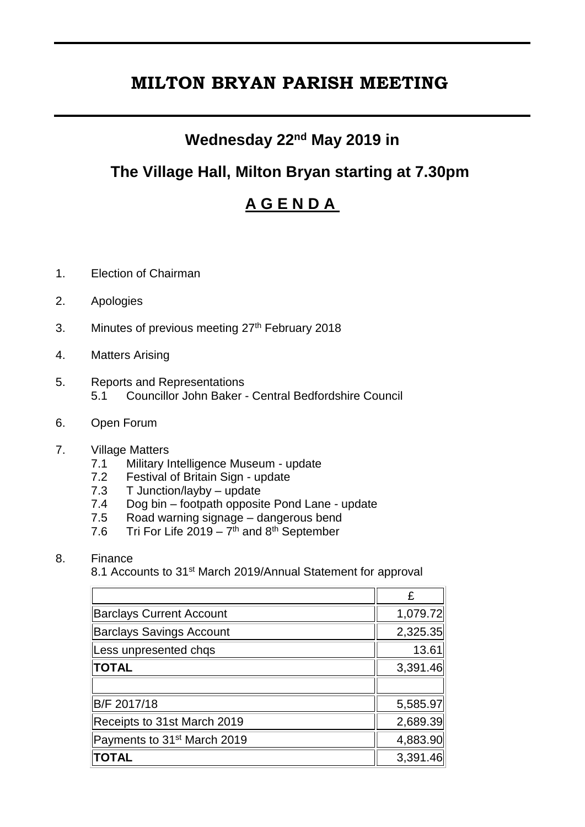# **MILTON BRYAN PARISH MEETING**

#### **Wednesday 22nd May 2019 in**

### **The Village Hall, Milton Bryan starting at 7.30pm**

## **A G E N D A**

- 1. Election of Chairman
- 2. Apologies
- 3. Minutes of previous meeting 27<sup>th</sup> February 2018
- 4. Matters Arising
- 5. Reports and Representations 5.1 Councillor John Baker - Central Bedfordshire Council
- 6. Open Forum
- 7. Village Matters
	- 7.1 Military Intelligence Museum update
	- 7.2 Festival of Britain Sign update
	- 7.3 T Junction/layby update
	- 7.4 Dog bin footpath opposite Pond Lane update
	- 7.5 Road warning signage dangerous bend
	- 7.6 Tri For Life 2019  $7<sup>th</sup>$  and 8<sup>th</sup> September

#### 8. Finance

8.1 Accounts to 31<sup>st</sup> March 2019/Annual Statement for approval

|                                         | £        |
|-----------------------------------------|----------|
| <b>Barclays Current Account</b>         | 1,079.72 |
| <b>Barclays Savings Account</b>         | 2,325.35 |
| Less unpresented chqs                   | 13.61    |
| <b>TOTAL</b>                            | 3,391.46 |
|                                         |          |
| B/F 2017/18                             | 5,585.97 |
| Receipts to 31st March 2019             | 2,689.39 |
| Payments to 31 <sup>st</sup> March 2019 | 4,883.90 |
| <b>TOTAL</b>                            | 3,391.46 |